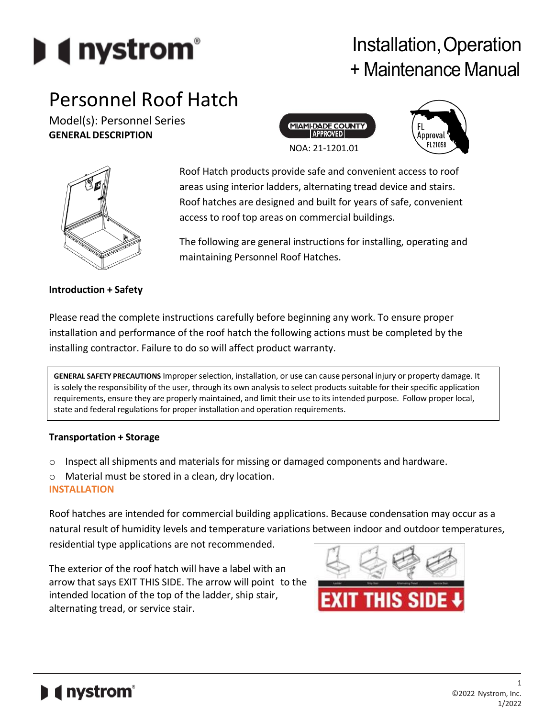

# Installation,Operation + Maintenance Manual

# Personnel Roof Hatch

Model(s): Personnel Series **GENERAL DESCRIPTION**







Roof Hatch products provide safe and convenient access to roof areas using interior ladders, alternating tread device and stairs. Roof hatches are designed and built for years of safe, convenient access to roof top areas on commercial buildings.

The following are general instructions for installing, operating and maintaining Personnel Roof Hatches.

# **Introduction + Safety**

Please read the complete instructions carefully before beginning any work. To ensure proper installation and performance of the roof hatch the following actions must be completed by the installing contractor. Failure to do so will affect product warranty.

**GENERAL SAFETY PRECAUTIONS** Improperselection, installation, or use can cause personal injury or property damage. It is solely the responsibility of the user, through its own analysis to select products suitable for their specific application requirements, ensure they are properly maintained, and limit their use to its intended purpose. Follow proper local, state and federal regulations for proper installation and operation requirements.

#### **Transportation + Storage**

- $\circ$  Inspect all shipments and materials for missing or damaged components and hardware.
- o Material must be stored in a clean, dry location. **INSTALLATION**

Roof hatches are intended for commercial building applications. Because condensation may occur as a natural result of humidity levels and temperature variations between indoor and outdoor temperatures, residential type applications are not recommended.

The exterior of the roof hatch will have a label with an arrow that says EXIT THIS SIDE. The arrow will point to the intended location of the top of the ladder, ship stair, alternating tread, or service stair.

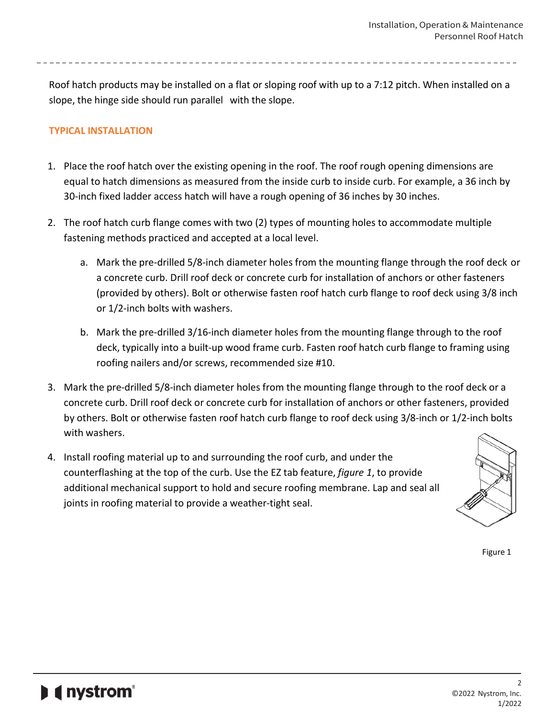Roof hatch products may be installed on a flat or sloping roof with up to a 7:12 pitch. When installed on a slope, the hinge side should run parallel with the slope.

# **TYPICAL INSTALLATION**

- 1. Place the roof hatch over the existing opening in the roof. The roof rough opening dimensions are equal to hatch dimensions as measured from the inside curb to inside curb. For example, a 36 inch by 30-inch fixed ladder access hatch will have a rough opening of 36 inches by 30 inches.
- 2. The roof hatch curb flange comes with two (2) types of mounting holes to accommodate multiple fastening methods practiced and accepted at a local level.
	- a. Mark the pre-drilled 5/8-inch diameter holes from the mounting flange through the roof deck or a concrete curb. Drill roof deck or concrete curb for installation of anchors or other fasteners (provided by others). Bolt or otherwise fasten roof hatch curb flange to roof deck using 3/8 inch or 1/2-inch bolts with washers.
	- b. Mark the pre-drilled 3/16-inch diameter holes from the mounting flange through to the roof deck, typically into a built-up wood frame curb. Fasten roof hatch curb flange to framing using roofing nailers and/or screws, recommended size #10.
- 3. Mark the pre-drilled 5/8-inch diameter holes from the mounting flange through to the roof deck or a concrete curb. Drill roof deck or concrete curb for installation of anchors or other fasteners, provided by others. Bolt or otherwise fasten roof hatch curb flange to roof deck using 3/8-inch or 1/2-inch bolts with washers.
- 4. Install roofing material up to and surrounding the roof curb, and under the counterflashing at the top of the curb. Use the EZ tab feature, *figure 1*, to provide additional mechanical support to hold and secure roofing membrane. Lap and seal all joints in roofing material to provide a weather-tight seal.



Figure 1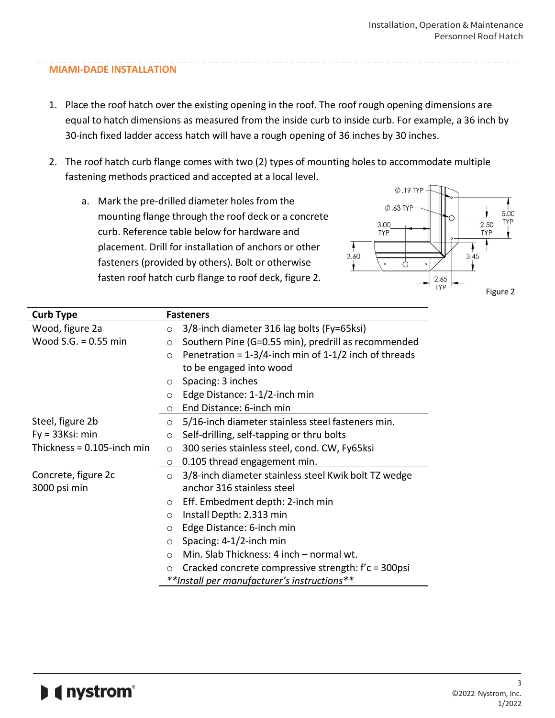# **MIAMI-DADE INSTALLATION**

- 1. Place the roof hatch over the existing opening in the roof. The roof rough opening dimensions are equal to hatch dimensions as measured from the inside curb to inside curb. For example, a 36 inch by 30-inch fixed ladder access hatch will have a rough opening of 36 inches by 30 inches.
- 2. The roof hatch curb flange comes with two (2) types of mounting holes to accommodate multiple fastening methods practiced and accepted at a local level.
	- a. Mark the pre-drilled diameter holes from the mounting flange through the roof deck or a concrete curb. Reference table below for hardware and placement. Drill for installation of anchors or other fasteners (provided by others). Bolt or otherwise fasten roof hatch curb flange to roof deck, figure 2.



| <b>Curb Type</b>           | <b>Fasteners</b>                                                      |
|----------------------------|-----------------------------------------------------------------------|
| Wood, figure 2a            | 3/8-inch diameter 316 lag bolts (Fy=65ksi)<br>$\circ$                 |
| Wood $S.G. = 0.55$ min     | Southern Pine (G=0.55 min), predrill as recommended<br>$\circ$        |
|                            | Penetration = $1-3/4$ -inch min of $1-1/2$ inch of threads<br>$\circ$ |
|                            | to be engaged into wood                                               |
|                            | Spacing: 3 inches<br>$\circ$                                          |
|                            | Edge Distance: 1-1/2-inch min<br>$\circ$                              |
|                            | End Distance: 6-inch min<br>$\circ$                                   |
| Steel, figure 2b           | 5/16-inch diameter stainless steel fasteners min.<br>$\circ$          |
| $Fy = 33Ksi$ : min         | Self-drilling, self-tapping or thru bolts<br>$\circ$                  |
| Thickness = 0.105-inch min | 300 series stainless steel, cond. CW, Fy65ksi<br>$\circ$              |
|                            | 0.105 thread engagement min.<br>$\circ$                               |
| Concrete, figure 2c        | 3/8-inch diameter stainless steel Kwik bolt TZ wedge<br>$\circ$       |
| 3000 psi min               | anchor 316 stainless steel                                            |
|                            | Eff. Embedment depth: 2-inch min<br>$\circ$                           |
|                            | Install Depth: 2.313 min<br>$\circ$                                   |
|                            | Edge Distance: 6-inch min<br>$\circ$                                  |
|                            | Spacing: 4-1/2-inch min<br>$\circ$                                    |
|                            | Min. Slab Thickness: 4 inch - normal wt.<br>$\circ$                   |
|                            | Cracked concrete compressive strength: f'c = 300psi<br>$\circ$        |
|                            | **Install per manufacturer's instructions**                           |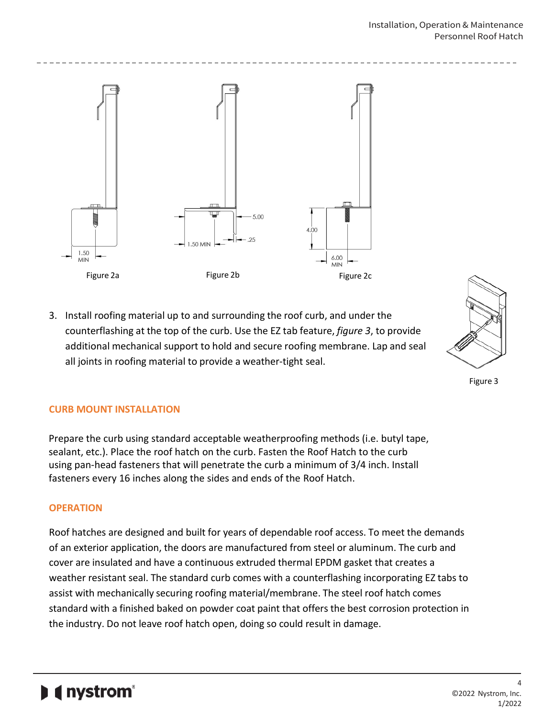

3. Install roofing material up to and surrounding the roof curb, and under the counterflashing at the top of the curb. Use the EZ tab feature, *figure 3*, to provide additional mechanical support to hold and secure roofing membrane. Lap and seal all joints in roofing material to provide a weather-tight seal.



Figure 3

# **CURB MOUNT INSTALLATION**

Prepare the curb using standard acceptable weatherproofing methods (i.e. butyl tape, sealant, etc.). Place the roof hatch on the curb. Fasten the Roof Hatch to the curb using pan-head fasteners that will penetrate the curb a minimum of 3/4 inch. Install fasteners every 16 inches along the sides and ends of the Roof Hatch.

# **OPERATION**

Roof hatches are designed and built for years of dependable roof access. To meet the demands of an exterior application, the doors are manufactured from steel or aluminum. The curb and cover are insulated and have a continuous extruded thermal EPDM gasket that creates a weather resistant seal. The standard curb comes with a counterflashing incorporating EZ tabs to assist with mechanically securing roofing material/membrane. The steel roof hatch comes standard with a finished baked on powder coat paint that offers the best corrosion protection in the industry. Do not leave roof hatch open, doing so could result in damage.